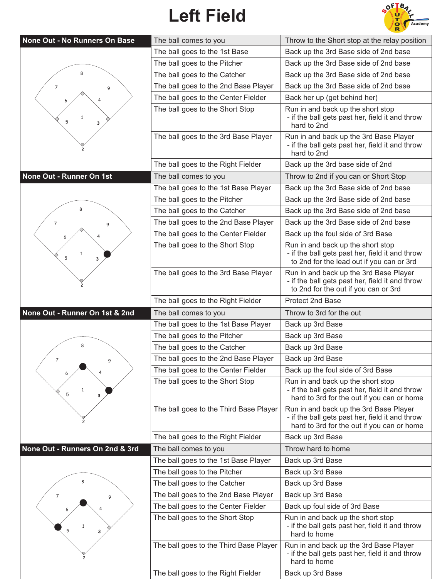## **Left Field**



| None Out - No Runners On Base   | The ball comes to you                  | Throw to the Short stop at the relay position                                                                                           |
|---------------------------------|----------------------------------------|-----------------------------------------------------------------------------------------------------------------------------------------|
|                                 | The ball goes to the 1st Base          | Back up the 3rd Base side of 2nd base                                                                                                   |
|                                 | The ball goes to the Pitcher           | Back up the 3rd Base side of 2nd base                                                                                                   |
| 8                               | The ball goes to the Catcher           | Back up the 3rd Base side of 2nd base                                                                                                   |
| 7<br>9                          | The ball goes to the 2nd Base Player   | Back up the 3rd Base side of 2nd base                                                                                                   |
|                                 | The ball goes to the Center Fielder    | Back her up (get behind her)                                                                                                            |
| 1<br>5<br>3                     | The ball goes to the Short Stop        | Run in and back up the short stop<br>- if the ball gets past her, field it and throw<br>hard to 2nd                                     |
|                                 | The ball goes to the 3rd Base Player   | Run in and back up the 3rd Base Player<br>- if the ball gets past her, field it and throw<br>hard to 2nd                                |
|                                 | The ball goes to the Right Fielder     | Back up the 3rd base side of 2nd                                                                                                        |
| None Out - Runner On 1st        | The ball comes to you                  | Throw to 2nd if you can or Short Stop                                                                                                   |
|                                 | The ball goes to the 1st Base Player   | Back up the 3rd Base side of 2nd base                                                                                                   |
|                                 | The ball goes to the Pitcher           | Back up the 3rd Base side of 2nd base                                                                                                   |
|                                 | The ball goes to the Catcher           | Back up the 3rd Base side of 2nd base                                                                                                   |
| 7<br>9                          | The ball goes to the 2nd Base Player   | Back up the 3rd Base side of 2nd base                                                                                                   |
|                                 | The ball goes to the Center Fielder    | Back up the foul side of 3rd Base                                                                                                       |
| $\mathbf{1}$<br>5<br>3          | The ball goes to the Short Stop        | Run in and back up the short stop<br>- if the ball gets past her, field it and throw<br>to 2nd for the lead out if you can or 3rd       |
|                                 | The ball goes to the 3rd Base Player   | Run in and back up the 3rd Base Player<br>- if the ball gets past her, field it and throw<br>to 2nd for the out if you can or 3rd       |
|                                 | The ball goes to the Right Fielder     | Protect 2nd Base                                                                                                                        |
| None Out - Runner On 1st & 2nd  | The ball comes to you                  | Throw to 3rd for the out                                                                                                                |
|                                 | The ball goes to the 1st Base Player   | Back up 3rd Base                                                                                                                        |
|                                 | The ball goes to the Pitcher           | Back up 3rd Base                                                                                                                        |
|                                 | The ball goes to the Catcher           | Back up 3rd Base                                                                                                                        |
| 7                               | The ball goes to the 2nd Base Player   | Back up 3rd Base                                                                                                                        |
|                                 | The ball goes to the Center Fielder    | Back up the foul side of 3rd Base                                                                                                       |
| 1<br>5                          | The ball goes to the Short Stop        | Run in and back up the short stop<br>- if the ball gets past her, field it and throw<br>hard to 3rd for the out if you can or home      |
|                                 | The ball goes to the Third Base Player | Run in and back up the 3rd Base Player<br>- if the ball gets past her, field it and throw<br>hard to 3rd for the out if you can or home |
|                                 | The ball goes to the Right Fielder     | Back up 3rd Base                                                                                                                        |
| None Out - Runners On 2nd & 3rd | The ball comes to you                  | Throw hard to home                                                                                                                      |
|                                 | The ball goes to the 1st Base Player   | Back up 3rd Base                                                                                                                        |
|                                 | The ball goes to the Pitcher           | Back up 3rd Base                                                                                                                        |
|                                 | The ball goes to the Catcher           | Back up 3rd Base                                                                                                                        |
| 7<br>9                          | The ball goes to the 2nd Base Player   | Back up 3rd Base                                                                                                                        |
|                                 | The ball goes to the Center Fielder    | Back up foul side of 3rd Base                                                                                                           |
| 5                               | The ball goes to the Short Stop        | Run in and back up the short stop<br>- if the ball gets past her, field it and throw<br>hard to home                                    |
|                                 | The ball goes to the Third Base Player | Run in and back up the 3rd Base Player<br>- if the ball gets past her, field it and throw<br>hard to home                               |
|                                 | The ball goes to the Right Fielder     | Back up 3rd Base                                                                                                                        |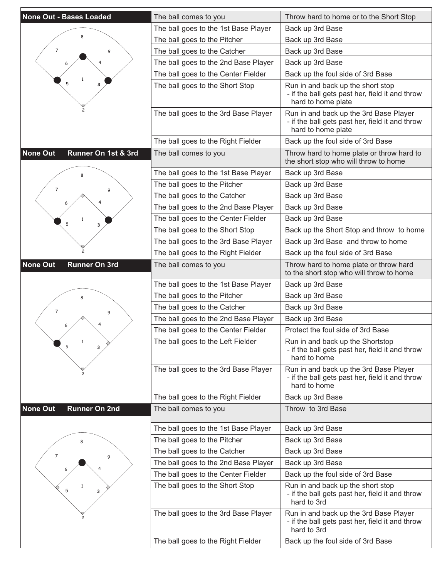| <b>None Out - Bases Loaded</b>          | The ball comes to you                | Throw hard to home or to the Short Stop                                                                         |
|-----------------------------------------|--------------------------------------|-----------------------------------------------------------------------------------------------------------------|
|                                         | The ball goes to the 1st Base Player | Back up 3rd Base                                                                                                |
|                                         | The ball goes to the Pitcher         | Back up 3rd Base                                                                                                |
| $\overline{7}$<br>9                     | The ball goes to the Catcher         | Back up 3rd Base                                                                                                |
|                                         | The ball goes to the 2nd Base Player | Back up 3rd Base                                                                                                |
|                                         | The ball goes to the Center Fielder  | Back up the foul side of 3rd Base                                                                               |
| 5<br>з                                  | The ball goes to the Short Stop      | Run in and back up the short stop<br>- if the ball gets past her, field it and throw<br>hard to home plate      |
|                                         | The ball goes to the 3rd Base Player | Run in and back up the 3rd Base Player<br>- if the ball gets past her, field it and throw<br>hard to home plate |
|                                         | The ball goes to the Right Fielder   | Back up the foul side of 3rd Base                                                                               |
| <b>None Out</b><br>Runner On 1st & 3rd  | The ball comes to you                | Throw hard to home plate or throw hard to<br>the short stop who will throw to home                              |
|                                         | The ball goes to the 1st Base Player | Back up 3rd Base                                                                                                |
|                                         | The ball goes to the Pitcher         | Back up 3rd Base                                                                                                |
| $\overline{7}$<br>9                     | The ball goes to the Catcher         | Back up 3rd Base                                                                                                |
|                                         | The ball goes to the 2nd Base Player | Back up 3rd Base                                                                                                |
|                                         | The ball goes to the Center Fielder  | Back up 3rd Base                                                                                                |
| 5<br>з                                  | The ball goes to the Short Stop      | Back up the Short Stop and throw to home                                                                        |
|                                         | The ball goes to the 3rd Base Player | Back up 3rd Base and throw to home                                                                              |
|                                         | The ball goes to the Right Fielder   | Back up the foul side of 3rd Base                                                                               |
| <b>None Out</b><br><b>Runner On 3rd</b> | The ball comes to you                | Throw hard to home plate or throw hard<br>to the short stop who will throw to home                              |
|                                         | The ball goes to the 1st Base Player | Back up 3rd Base                                                                                                |
|                                         | The ball goes to the Pitcher         | Back up 3rd Base                                                                                                |
| $\overline{7}$                          | The ball goes to the Catcher         | Back up 3rd Base                                                                                                |
| 9                                       | The ball goes to the 2nd Base Player | Back up 3rd Base                                                                                                |
|                                         | The ball goes to the Center Fielder  | Protect the foul side of 3rd Base                                                                               |
| $\mathbf{1}$<br>5<br>3                  | The ball goes to the Left Fielder    | Run in and back up the Shortstop<br>- if the ball gets past her, field it and throw<br>hard to home             |
|                                         | The ball goes to the 3rd Base Player | Run in and back up the 3rd Base Player<br>- if the ball gets past her, field it and throw<br>hard to home       |
|                                         | The ball goes to the Right Fielder   | Back up 3rd Base                                                                                                |
| <b>None Out</b><br><b>Runner On 2nd</b> | The ball comes to you                | Throw to 3rd Base                                                                                               |
|                                         | The ball goes to the 1st Base Player | Back up 3rd Base                                                                                                |
|                                         | The ball goes to the Pitcher         | Back up 3rd Base                                                                                                |
| $\overline{7}$<br>9                     | The ball goes to the Catcher         | Back up 3rd Base                                                                                                |
|                                         | The ball goes to the 2nd Base Player | Back up 3rd Base                                                                                                |
|                                         | The ball goes to the Center Fielder  | Back up the foul side of 3rd Base                                                                               |
| 5<br>з                                  | The ball goes to the Short Stop      | Run in and back up the short stop<br>- if the ball gets past her, field it and throw<br>hard to 3rd             |
|                                         |                                      |                                                                                                                 |
|                                         | The ball goes to the 3rd Base Player | Run in and back up the 3rd Base Player<br>- if the ball gets past her, field it and throw<br>hard to 3rd        |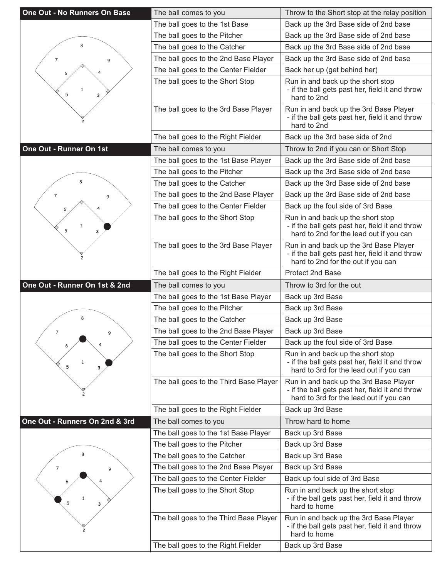| <b>One Out - No Runners On Base</b> | The ball comes to you                                                        | Throw to the Short stop at the relay position                                                                                        |
|-------------------------------------|------------------------------------------------------------------------------|--------------------------------------------------------------------------------------------------------------------------------------|
|                                     | The ball goes to the 1st Base                                                | Back up the 3rd Base side of 2nd base                                                                                                |
|                                     | The ball goes to the Pitcher                                                 | Back up the 3rd Base side of 2nd base                                                                                                |
| 8                                   | The ball goes to the Catcher                                                 | Back up the 3rd Base side of 2nd base                                                                                                |
| $\overline{7}$<br>9                 | The ball goes to the 2nd Base Player                                         | Back up the 3rd Base side of 2nd base                                                                                                |
|                                     | The ball goes to the Center Fielder                                          | Back her up (get behind her)                                                                                                         |
| $\mathbf{1}$<br>5<br>з              | The ball goes to the Short Stop                                              | Run in and back up the short stop<br>- if the ball gets past her, field it and throw<br>hard to 2nd                                  |
|                                     | The ball goes to the 3rd Base Player                                         | Run in and back up the 3rd Base Player<br>- if the ball gets past her, field it and throw<br>hard to 2nd                             |
|                                     | The ball goes to the Right Fielder                                           | Back up the 3rd base side of 2nd                                                                                                     |
| One Out - Runner On 1st             | The ball comes to you                                                        | Throw to 2nd if you can or Short Stop                                                                                                |
|                                     | The ball goes to the 1st Base Player                                         | Back up the 3rd Base side of 2nd base                                                                                                |
|                                     | The ball goes to the Pitcher                                                 | Back up the 3rd Base side of 2nd base                                                                                                |
|                                     | The ball goes to the Catcher                                                 | Back up the 3rd Base side of 2nd base                                                                                                |
| $\overline{7}$<br>9                 | The ball goes to the 2nd Base Player                                         | Back up the 3rd Base side of 2nd base                                                                                                |
|                                     | The ball goes to the Center Fielder                                          | Back up the foul side of 3rd Base                                                                                                    |
| $\mathbf{1}$<br>5<br>3              | The ball goes to the Short Stop                                              | Run in and back up the short stop<br>- if the ball gets past her, field it and throw<br>hard to 2nd for the lead out if you can      |
|                                     | The ball goes to the 3rd Base Player                                         | Run in and back up the 3rd Base Player<br>- if the ball gets past her, field it and throw<br>hard to 2nd for the out if you can      |
|                                     | The ball goes to the Right Fielder                                           | Protect 2nd Base                                                                                                                     |
|                                     |                                                                              |                                                                                                                                      |
| One Out - Runner On 1st & 2nd       | The ball comes to you                                                        | Throw to 3rd for the out                                                                                                             |
|                                     | The ball goes to the 1st Base Player                                         | Back up 3rd Base                                                                                                                     |
|                                     | The ball goes to the Pitcher                                                 | Back up 3rd Base                                                                                                                     |
| 8                                   | The ball goes to the Catcher                                                 | Back up 3rd Base                                                                                                                     |
| $\overline{7}$<br>9                 | The ball goes to the 2nd Base Player                                         | Back up 3rd Base                                                                                                                     |
| 6                                   | The ball goes to the Center Fielder                                          | Back up the foul side of 3rd Base                                                                                                    |
| $\mathbf{1}$<br>5<br>3              | The ball goes to the Short Stop                                              | Run in and back up the short stop<br>- if the ball gets past her, field it and throw<br>hard to 3rd for the lead out if you can      |
|                                     | The ball goes to the Third Base Player                                       | Run in and back up the 3rd Base Player<br>- if the ball gets past her, field it and throw<br>hard to 3rd for the lead out if you can |
|                                     | The ball goes to the Right Fielder                                           | Back up 3rd Base                                                                                                                     |
| One Out - Runners On 2nd & 3rd      | The ball comes to you                                                        | Throw hard to home                                                                                                                   |
|                                     | The ball goes to the 1st Base Player                                         | Back up 3rd Base                                                                                                                     |
|                                     | The ball goes to the Pitcher                                                 | Back up 3rd Base                                                                                                                     |
|                                     | The ball goes to the Catcher                                                 | Back up 3rd Base                                                                                                                     |
| 7<br>9                              | The ball goes to the 2nd Base Player                                         | Back up 3rd Base                                                                                                                     |
|                                     | The ball goes to the Center Fielder                                          | Back up foul side of 3rd Base                                                                                                        |
| 5<br>3                              | The ball goes to the Short Stop                                              | Run in and back up the short stop<br>- if the ball gets past her, field it and throw<br>hard to home                                 |
|                                     | The ball goes to the Third Base Player<br>The ball goes to the Right Fielder | Run in and back up the 3rd Base Player<br>- if the ball gets past her, field it and throw<br>hard to home<br>Back up 3rd Base        |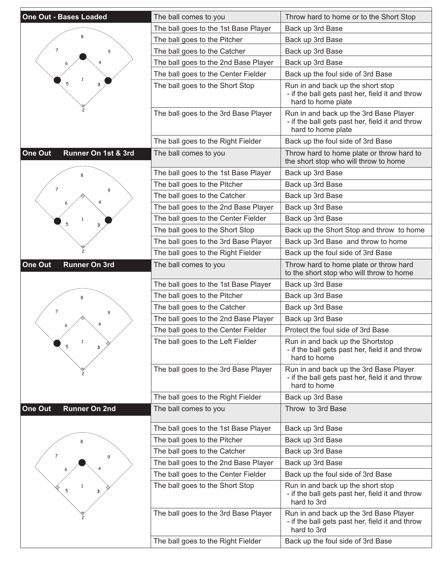| <b>One Out - Bases Loaded</b>   | The ball comes to you                | Throw hard to home or to the Short Stop                                                                         |
|---------------------------------|--------------------------------------|-----------------------------------------------------------------------------------------------------------------|
|                                 | The ball goes to the 1st Base Player | Back up 3rd Base                                                                                                |
|                                 | The ball goes to the Pitcher         | Back up 3rd Base                                                                                                |
| $\overline{7}$<br>9             | The ball goes to the Catcher         | Back up 3rd Base                                                                                                |
|                                 | The ball goes to the 2nd Base Player | Back up 3rd Base                                                                                                |
|                                 | The ball goes to the Center Fielder  | Back up the foul side of 3rd Base                                                                               |
| 5<br>3                          | The ball goes to the Short Stop      | Run in and back up the short stop<br>- if the ball gets past her, field it and throw<br>hard to home plate      |
|                                 | The ball goes to the 3rd Base Player | Run in and back up the 3rd Base Player<br>- if the ball gets past her, field it and throw<br>hard to home plate |
|                                 | The ball goes to the Right Fielder   | Back up the foul side of 3rd Base                                                                               |
| Runner On 1st & 3rd<br>One Out  | The ball comes to you                | Throw hard to home plate or throw hard to<br>the short stop who will throw to home                              |
|                                 | The ball goes to the 1st Base Player | Back up 3rd Base                                                                                                |
| $\overline{7}$                  | The ball goes to the Pitcher         | Back up 3rd Base                                                                                                |
| 9                               | The ball goes to the Catcher         | Back up 3rd Base                                                                                                |
|                                 | The ball goes to the 2nd Base Player | Back up 3rd Base                                                                                                |
| 1<br>5                          | The ball goes to the Center Fielder  | Back up 3rd Base                                                                                                |
| з                               | The ball goes to the Short Stop      | Back up the Short Stop and throw to home                                                                        |
|                                 | The ball goes to the 3rd Base Player | Back up 3rd Base and throw to home                                                                              |
|                                 | The ball goes to the Right Fielder   | Back up the foul side of 3rd Base                                                                               |
| One Out<br><b>Runner On 3rd</b> | The ball comes to you                | Throw hard to home plate or throw hard<br>to the short stop who will throw to home                              |
|                                 | The ball goes to the 1st Base Player | Back up 3rd Base                                                                                                |
|                                 | The ball goes to the Pitcher         | Back up 3rd Base                                                                                                |
| 7<br>9                          | The ball goes to the Catcher         | Back up 3rd Base                                                                                                |
|                                 | The ball goes to the 2nd Base Player | Back up 3rd Base                                                                                                |
|                                 | The ball goes to the Center Fielder  | Protect the foul side of 3rd Base                                                                               |
| $\mathbf{1}$<br>5<br>3          | The ball goes to the Left Fielder    | Run in and back up the Shortstop<br>- if the ball gets past her, field it and throw<br>hard to home             |
|                                 | The ball goes to the 3rd Base Player | Run in and back up the 3rd Base Player<br>- if the ball gets past her, field it and throw<br>hard to home       |
|                                 | The ball goes to the Right Fielder   | Back up 3rd Base                                                                                                |
| One Out<br><b>Runner On 2nd</b> | The ball comes to you                | Throw to 3rd Base                                                                                               |
|                                 | The ball goes to the 1st Base Player | Back up 3rd Base                                                                                                |
|                                 | The ball goes to the Pitcher         | Back up 3rd Base                                                                                                |
| 7<br>9                          | The ball goes to the Catcher         | Back up 3rd Base                                                                                                |
|                                 | The ball goes to the 2nd Base Player | Back up 3rd Base                                                                                                |
|                                 | The ball goes to the Center Fielder  | Back up the foul side of 3rd Base                                                                               |
| 5<br>3                          | The ball goes to the Short Stop      | Run in and back up the short stop<br>- if the ball gets past her, field it and throw<br>hard to 3rd             |
|                                 | The ball goes to the 3rd Base Player | Run in and back up the 3rd Base Player<br>- if the ball gets past her, field it and throw<br>hard to 3rd        |
|                                 | The ball goes to the Right Fielder   | Back up the foul side of 3rd Base                                                                               |
|                                 |                                      |                                                                                                                 |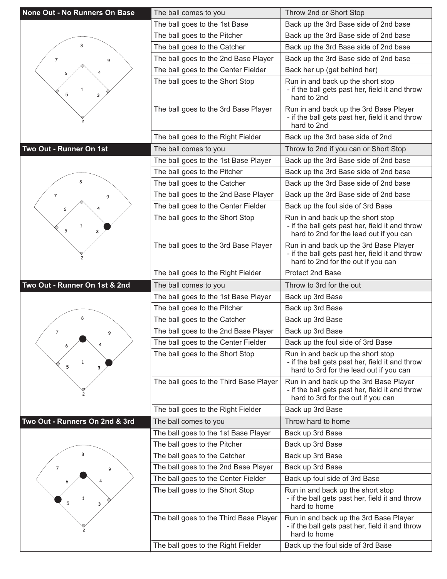| <b>None Out - No Runners On Base</b> | The ball comes to you                  | Throw 2nd or Short Stop                                                                                                         |
|--------------------------------------|----------------------------------------|---------------------------------------------------------------------------------------------------------------------------------|
|                                      | The ball goes to the 1st Base          | Back up the 3rd Base side of 2nd base                                                                                           |
|                                      | The ball goes to the Pitcher           | Back up the 3rd Base side of 2nd base                                                                                           |
| ጸ                                    | The ball goes to the Catcher           | Back up the 3rd Base side of 2nd base                                                                                           |
| 7<br>9                               | The ball goes to the 2nd Base Player   | Back up the 3rd Base side of 2nd base                                                                                           |
|                                      | The ball goes to the Center Fielder    | Back her up (get behind her)                                                                                                    |
| $\mathbf{1}$<br>5<br>з               | The ball goes to the Short Stop        | Run in and back up the short stop<br>- if the ball gets past her, field it and throw<br>hard to 2nd                             |
|                                      | The ball goes to the 3rd Base Player   | Run in and back up the 3rd Base Player<br>- if the ball gets past her, field it and throw<br>hard to 2nd                        |
|                                      | The ball goes to the Right Fielder     | Back up the 3rd base side of 2nd                                                                                                |
| Two Out - Runner On 1st              | The ball comes to you                  | Throw to 2nd if you can or Short Stop                                                                                           |
|                                      | The ball goes to the 1st Base Player   | Back up the 3rd Base side of 2nd base                                                                                           |
|                                      | The ball goes to the Pitcher           | Back up the 3rd Base side of 2nd base                                                                                           |
|                                      | The ball goes to the Catcher           | Back up the 3rd Base side of 2nd base                                                                                           |
| $\overline{7}$<br>9                  | The ball goes to the 2nd Base Player   | Back up the 3rd Base side of 2nd base                                                                                           |
|                                      | The ball goes to the Center Fielder    | Back up the foul side of 3rd Base                                                                                               |
| $\mathbf{1}$<br>5<br>3               | The ball goes to the Short Stop        | Run in and back up the short stop<br>- if the ball gets past her, field it and throw<br>hard to 2nd for the lead out if you can |
|                                      | The ball goes to the 3rd Base Player   | Run in and back up the 3rd Base Player<br>- if the ball gets past her, field it and throw<br>hard to 2nd for the out if you can |
|                                      | The ball goes to the Right Fielder     | Protect 2nd Base                                                                                                                |
|                                      |                                        |                                                                                                                                 |
| Two Out - Runner On 1st & 2nd        | The ball comes to you                  | Throw to 3rd for the out                                                                                                        |
|                                      | The ball goes to the 1st Base Player   | Back up 3rd Base                                                                                                                |
|                                      | The ball goes to the Pitcher           | Back up 3rd Base                                                                                                                |
| 8                                    | The ball goes to the Catcher           | Back up 3rd Base                                                                                                                |
| 7<br>9                               | The ball goes to the 2nd Base Player   | Back up 3rd Base                                                                                                                |
|                                      | The ball goes to the Center Fielder    | Back up the foul side of 3rd Base                                                                                               |
| $\mathbf{1}$<br>5<br>3               | The ball goes to the Short Stop        | Run in and back up the short stop<br>- if the ball gets past her, field it and throw<br>hard to 3rd for the lead out if you can |
|                                      | The ball goes to the Third Base Player | Run in and back up the 3rd Base Player<br>- if the ball gets past her, field it and throw<br>hard to 3rd for the out if you can |
|                                      | The ball goes to the Right Fielder     | Back up 3rd Base                                                                                                                |
| Two Out - Runners On 2nd & 3rd       | The ball comes to you                  | Throw hard to home                                                                                                              |
|                                      | The ball goes to the 1st Base Player   | Back up 3rd Base                                                                                                                |
|                                      | The ball goes to the Pitcher           | Back up 3rd Base                                                                                                                |
| 8                                    | The ball goes to the Catcher           | Back up 3rd Base                                                                                                                |
| 7<br>9                               | The ball goes to the 2nd Base Player   | Back up 3rd Base                                                                                                                |
|                                      | The ball goes to the Center Fielder    | Back up foul side of 3rd Base                                                                                                   |
| $\mathbf{1}$<br>5<br>3               | The ball goes to the Short Stop        | Run in and back up the short stop<br>- if the ball gets past her, field it and throw<br>hard to home                            |
|                                      | The ball goes to the Third Base Player | Run in and back up the 3rd Base Player<br>- if the ball gets past her, field it and throw<br>hard to home                       |